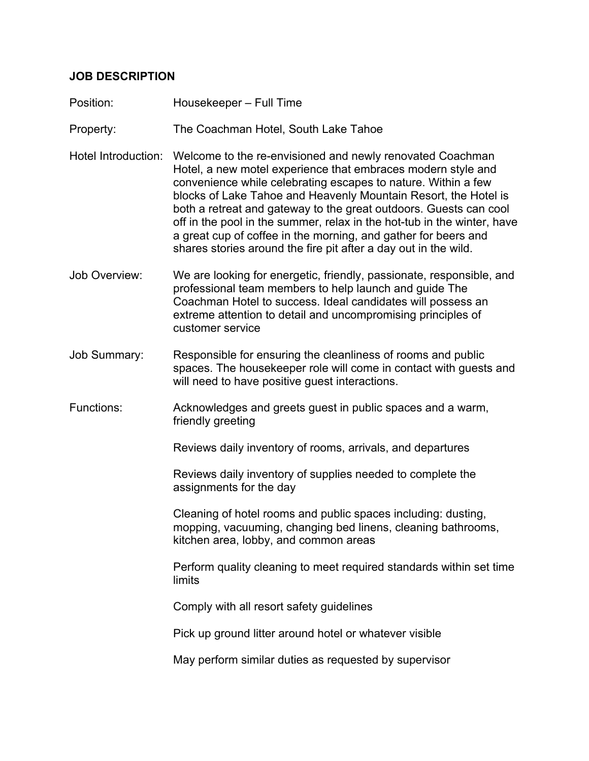## **JOB DESCRIPTION**

- Position: Housekeeper Full Time
- Property: The Coachman Hotel, South Lake Tahoe
- Hotel Introduction: Welcome to the re-envisioned and newly renovated Coachman Hotel, a new motel experience that embraces modern style and convenience while celebrating escapes to nature. Within a few blocks of Lake Tahoe and Heavenly Mountain Resort, the Hotel is both a retreat and gateway to the great outdoors. Guests can cool off in the pool in the summer, relax in the hot-tub in the winter, have a great cup of coffee in the morning, and gather for beers and shares stories around the fire pit after a day out in the wild.
- Job Overview: We are looking for energetic, friendly, passionate, responsible, and professional team members to help launch and guide The Coachman Hotel to success. Ideal candidates will possess an extreme attention to detail and uncompromising principles of customer service
- Job Summary: Responsible for ensuring the cleanliness of rooms and public spaces. The housekeeper role will come in contact with guests and will need to have positive guest interactions.
- Functions: Acknowledges and greets guest in public spaces and a warm, friendly greeting

Reviews daily inventory of rooms, arrivals, and departures

Reviews daily inventory of supplies needed to complete the assignments for the day

Cleaning of hotel rooms and public spaces including: dusting, mopping, vacuuming, changing bed linens, cleaning bathrooms, kitchen area, lobby, and common areas

Perform quality cleaning to meet required standards within set time limits

Comply with all resort safety guidelines

Pick up ground litter around hotel or whatever visible

May perform similar duties as requested by supervisor